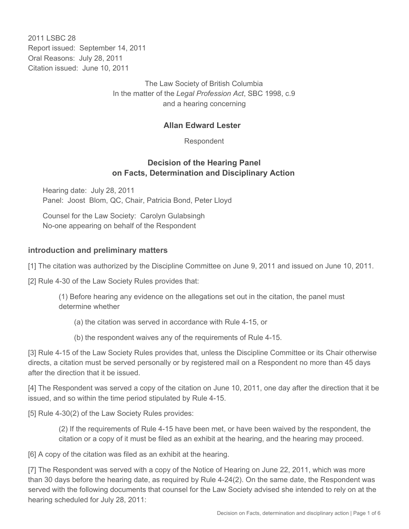2011 LSBC 28 Report issued: September 14, 2011 Oral Reasons: July 28, 2011 Citation issued: June 10, 2011

> The Law Society of British Columbia In the matter of the *Legal Profession Act*, SBC 1998, c.9 and a hearing concerning

#### **Allan Edward Lester**

Respondent

### **Decision of the Hearing Panel on Facts, Determination and Disciplinary Action**

Hearing date: July 28, 2011 Panel: Joost Blom, QC, Chair, Patricia Bond, Peter Lloyd

Counsel for the Law Society: Carolyn Gulabsingh No-one appearing on behalf of the Respondent

#### **introduction and preliminary matters**

[1] The citation was authorized by the Discipline Committee on June 9, 2011 and issued on June 10, 2011.

[2] Rule 4-30 of the Law Society Rules provides that:

(1) Before hearing any evidence on the allegations set out in the citation, the panel must determine whether

(a) the citation was served in accordance with Rule 4-15, or

(b) the respondent waives any of the requirements of Rule 4-15.

[3] Rule 4-15 of the Law Society Rules provides that, unless the Discipline Committee or its Chair otherwise directs, a citation must be served personally or by registered mail on a Respondent no more than 45 days after the direction that it be issued.

[4] The Respondent was served a copy of the citation on June 10, 2011, one day after the direction that it be issued, and so within the time period stipulated by Rule 4-15.

[5] Rule 4-30(2) of the Law Society Rules provides:

(2) If the requirements of Rule 4-15 have been met, or have been waived by the respondent, the citation or a copy of it must be filed as an exhibit at the hearing, and the hearing may proceed.

[6] A copy of the citation was filed as an exhibit at the hearing.

[7] The Respondent was served with a copy of the Notice of Hearing on June 22, 2011, which was more than 30 days before the hearing date, as required by Rule 4-24(2). On the same date, the Respondent was served with the following documents that counsel for the Law Society advised she intended to rely on at the hearing scheduled for July 28, 2011: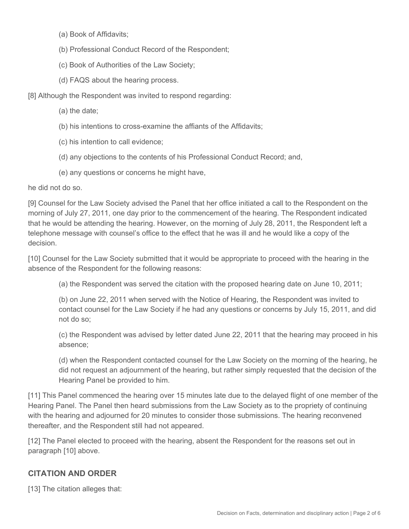- (a) Book of Affidavits;
- (b) Professional Conduct Record of the Respondent;
- (c) Book of Authorities of the Law Society;
- (d) FAQS about the hearing process.

[8] Although the Respondent was invited to respond regarding:

- (a) the date;
- (b) his intentions to cross-examine the affiants of the Affidavits;
- (c) his intention to call evidence;
- (d) any objections to the contents of his Professional Conduct Record; and,
- (e) any questions or concerns he might have,

he did not do so.

[9] Counsel for the Law Society advised the Panel that her office initiated a call to the Respondent on the morning of July 27, 2011, one day prior to the commencement of the hearing. The Respondent indicated that he would be attending the hearing. However, on the morning of July 28, 2011, the Respondent left a telephone message with counsel's office to the effect that he was ill and he would like a copy of the decision.

[10] Counsel for the Law Society submitted that it would be appropriate to proceed with the hearing in the absence of the Respondent for the following reasons:

(a) the Respondent was served the citation with the proposed hearing date on June 10, 2011;

(b) on June 22, 2011 when served with the Notice of Hearing, the Respondent was invited to contact counsel for the Law Society if he had any questions or concerns by July 15, 2011, and did not do so;

(c) the Respondent was advised by letter dated June 22, 2011 that the hearing may proceed in his absence;

(d) when the Respondent contacted counsel for the Law Society on the morning of the hearing, he did not request an adjournment of the hearing, but rather simply requested that the decision of the Hearing Panel be provided to him.

[11] This Panel commenced the hearing over 15 minutes late due to the delayed flight of one member of the Hearing Panel. The Panel then heard submissions from the Law Society as to the propriety of continuing with the hearing and adjourned for 20 minutes to consider those submissions. The hearing reconvened thereafter, and the Respondent still had not appeared.

[12] The Panel elected to proceed with the hearing, absent the Respondent for the reasons set out in paragraph [10] above.

## **CITATION AND ORDER**

[13] The citation alleges that: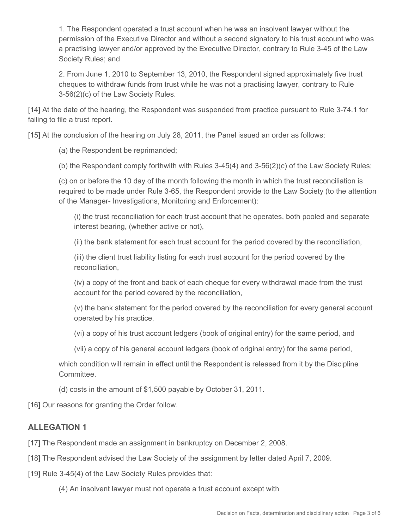1. The Respondent operated a trust account when he was an insolvent lawyer without the permission of the Executive Director and without a second signatory to his trust account who was a practising lawyer and/or approved by the Executive Director, contrary to Rule 3-45 of the Law Society Rules; and

2. From June 1, 2010 to September 13, 2010, the Respondent signed approximately five trust cheques to withdraw funds from trust while he was not a practising lawyer, contrary to Rule 3-56(2)(c) of the Law Society Rules.

[14] At the date of the hearing, the Respondent was suspended from practice pursuant to Rule 3-74.1 for failing to file a trust report.

[15] At the conclusion of the hearing on July 28, 2011, the Panel issued an order as follows:

(a) the Respondent be reprimanded;

(b) the Respondent comply forthwith with Rules 3-45(4) and 3-56(2)(c) of the Law Society Rules;

(c) on or before the 10 day of the month following the month in which the trust reconciliation is required to be made under Rule 3-65, the Respondent provide to the Law Society (to the attention of the Manager- Investigations, Monitoring and Enforcement):

(i) the trust reconciliation for each trust account that he operates, both pooled and separate interest bearing, (whether active or not),

(ii) the bank statement for each trust account for the period covered by the reconciliation,

(iii) the client trust liability listing for each trust account for the period covered by the reconciliation,

(iv) a copy of the front and back of each cheque for every withdrawal made from the trust account for the period covered by the reconciliation,

(v) the bank statement for the period covered by the reconciliation for every general account operated by his practice,

(vi) a copy of his trust account ledgers (book of original entry) for the same period, and

(vii) a copy of his general account ledgers (book of original entry) for the same period,

which condition will remain in effect until the Respondent is released from it by the Discipline Committee.

(d) costs in the amount of \$1,500 payable by October 31, 2011.

[16] Our reasons for granting the Order follow.

## **ALLEGATION 1**

[17] The Respondent made an assignment in bankruptcy on December 2, 2008.

[18] The Respondent advised the Law Society of the assignment by letter dated April 7, 2009.

[19] Rule 3-45(4) of the Law Society Rules provides that:

(4) An insolvent lawyer must not operate a trust account except with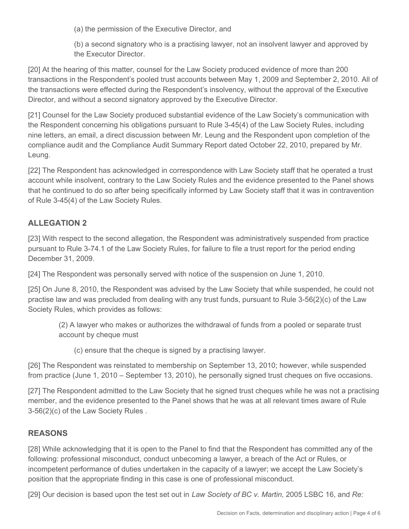(a) the permission of the Executive Director, and

(b) a second signatory who is a practising lawyer, not an insolvent lawyer and approved by the Executor Director.

[20] At the hearing of this matter, counsel for the Law Society produced evidence of more than 200 transactions in the Respondent's pooled trust accounts between May 1, 2009 and September 2, 2010. All of the transactions were effected during the Respondent's insolvency, without the approval of the Executive Director, and without a second signatory approved by the Executive Director.

[21] Counsel for the Law Society produced substantial evidence of the Law Society's communication with the Respondent concerning his obligations pursuant to Rule 3-45(4) of the Law Society Rules, including nine letters, an email, a direct discussion between Mr. Leung and the Respondent upon completion of the compliance audit and the Compliance Audit Summary Report dated October 22, 2010, prepared by Mr. Leung.

[22] The Respondent has acknowledged in correspondence with Law Society staff that he operated a trust account while insolvent, contrary to the Law Society Rules and the evidence presented to the Panel shows that he continued to do so after being specifically informed by Law Society staff that it was in contravention of Rule 3-45(4) of the Law Society Rules.

# **ALLEGATION 2**

[23] With respect to the second allegation, the Respondent was administratively suspended from practice pursuant to Rule 3-74.1 of the Law Society Rules, for failure to file a trust report for the period ending December 31, 2009.

[24] The Respondent was personally served with notice of the suspension on June 1, 2010.

[25] On June 8, 2010, the Respondent was advised by the Law Society that while suspended, he could not practise law and was precluded from dealing with any trust funds, pursuant to Rule 3-56(2)(c) of the Law Society Rules, which provides as follows:

(2) A lawyer who makes or authorizes the withdrawal of funds from a pooled or separate trust account by cheque must

(c) ensure that the cheque is signed by a practising lawyer.

[26] The Respondent was reinstated to membership on September 13, 2010; however, while suspended from practice (June 1, 2010 – September 13, 2010), he personally signed trust cheques on five occasions.

[27] The Respondent admitted to the Law Society that he signed trust cheques while he was not a practising member, and the evidence presented to the Panel shows that he was at all relevant times aware of Rule 3-56(2)(c) of the Law Society Rules .

# **REASONS**

[28] While acknowledging that it is open to the Panel to find that the Respondent has committed any of the following: professional misconduct, conduct unbecoming a lawyer, a breach of the Act or Rules, or incompetent performance of duties undertaken in the capacity of a lawyer; we accept the Law Society's position that the appropriate finding in this case is one of professional misconduct.

[29] Our decision is based upon the test set out in *Law Society of BC v. Martin*, 2005 LSBC 16, and *Re:*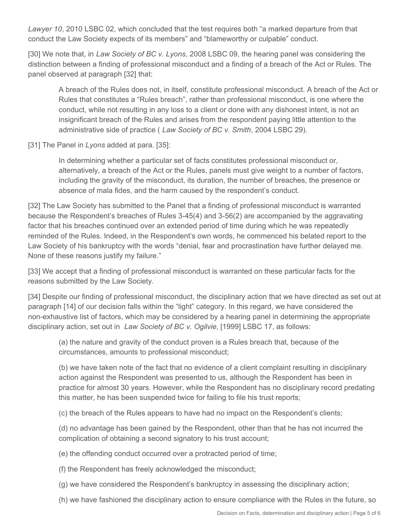*Lawyer 10*, 2010 LSBC 02, which concluded that the test requires both "a marked departure from that conduct the Law Society expects of its members" and "blameworthy or culpable" conduct.

[30] We note that, in *Law Society of BC v. Lyons*, 2008 LSBC 09, the hearing panel was considering the distinction between a finding of professional misconduct and a finding of a breach of the Act or Rules. The panel observed at paragraph [32] that:

A breach of the Rules does not, in itself, constitute professional misconduct. A breach of the Act or Rules that constitutes a "Rules breach", rather than professional misconduct, is one where the conduct, while not resulting in any loss to a client or done with any dishonest intent, is not an insignificant breach of the Rules and arises from the respondent paying little attention to the administrative side of practice ( *Law Society of BC v. Smith*, 2004 LSBC 29).

[31] The Panel in *Lyons* added at para. [35]:

In determining whether a particular set of facts constitutes professional misconduct or, alternatively, a breach of the Act or the Rules, panels must give weight to a number of factors, including the gravity of the misconduct, its duration, the number of breaches, the presence or absence of mala fides, and the harm caused by the respondent's conduct.

[32] The Law Society has submitted to the Panel that a finding of professional misconduct is warranted because the Respondent's breaches of Rules 3-45(4) and 3-56(2) are accompanied by the aggravating factor that his breaches continued over an extended period of time during which he was repeatedly reminded of the Rules. Indeed, in the Respondent's own words, he commenced his belated report to the Law Society of his bankruptcy with the words "denial, fear and procrastination have further delayed me. None of these reasons justify my failure."

[33] We accept that a finding of professional misconduct is warranted on these particular facts for the reasons submitted by the Law Society.

[34] Despite our finding of professional misconduct, the disciplinary action that we have directed as set out at paragraph [14] of our decision falls within the "light" category. In this regard, we have considered the non-exhaustive list of factors, which may be considered by a hearing panel in determining the appropriate disciplinary action, set out in *Law Society of BC v. Ogilvie*, [1999] LSBC 17, as follows:

(a) the nature and gravity of the conduct proven is a Rules breach that, because of the circumstances, amounts to professional misconduct;

(b) we have taken note of the fact that no evidence of a client complaint resulting in disciplinary action against the Respondent was presented to us, although the Respondent has been in practice for almost 30 years. However, while the Respondent has no disciplinary record predating this matter, he has been suspended twice for failing to file his trust reports;

(c) the breach of the Rules appears to have had no impact on the Respondent's clients;

(d) no advantage has been gained by the Respondent, other than that he has not incurred the complication of obtaining a second signatory to his trust account;

(e) the offending conduct occurred over a protracted period of time;

(f) the Respondent has freely acknowledged the misconduct;

(g) we have considered the Respondent's bankruptcy in assessing the disciplinary action;

(h) we have fashioned the disciplinary action to ensure compliance with the Rules in the future, so